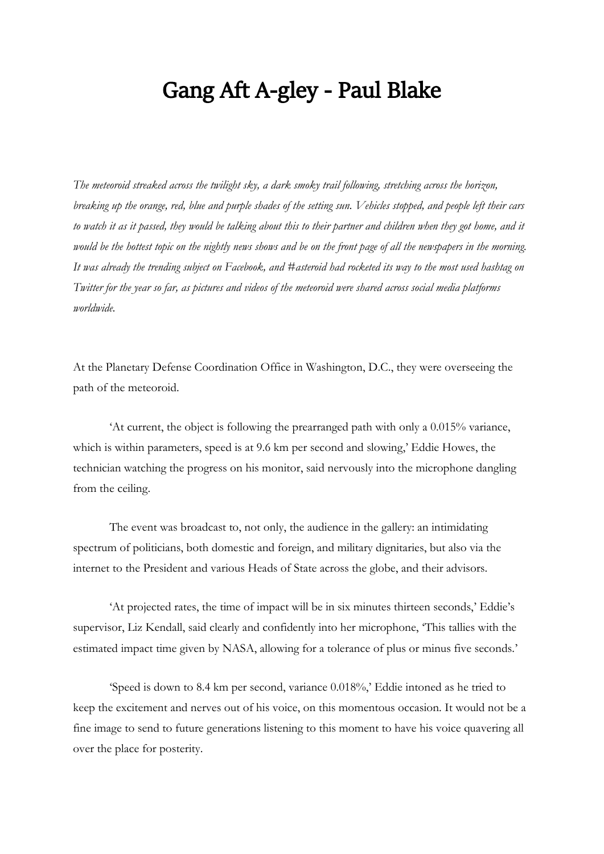## Gang Aft A-gley - Paul Blake

*The meteoroid streaked across the twilight sky, a dark smoky trail following, stretching across the horizon, breaking up the orange, red, blue and purple shades of the setting sun. Vehicles stopped, and people left their cars to watch it as it passed, they would be talking about this to their partner and children when they got home, and it would be the hottest topic on the nightly news shows and be on the front page of all the newspapers in the morning. It was already the trending subject on Facebook, and #asteroid had rocketed its way to the most used hashtag on Twitter for the year so far, as pictures and videos of the meteoroid were shared across social media platforms worldwide.*

At the Planetary Defense Coordination Office in Washington, D.C., they were overseeing the path of the meteoroid.

'At current, the object is following the prearranged path with only a 0.015% variance, which is within parameters, speed is at 9.6 km per second and slowing,' Eddie Howes, the technician watching the progress on his monitor, said nervously into the microphone dangling from the ceiling.

The event was broadcast to, not only, the audience in the gallery: an intimidating spectrum of politicians, both domestic and foreign, and military dignitaries, but also via the internet to the President and various Heads of State across the globe, and their advisors.

'At projected rates, the time of impact will be in six minutes thirteen seconds,' Eddie's supervisor, Liz Kendall, said clearly and confidently into her microphone, 'This tallies with the estimated impact time given by NASA, allowing for a tolerance of plus or minus five seconds.'

'Speed is down to 8.4 km per second, variance 0.018%,' Eddie intoned as he tried to keep the excitement and nerves out of his voice, on this momentous occasion. It would not be a fine image to send to future generations listening to this moment to have his voice quavering all over the place for posterity.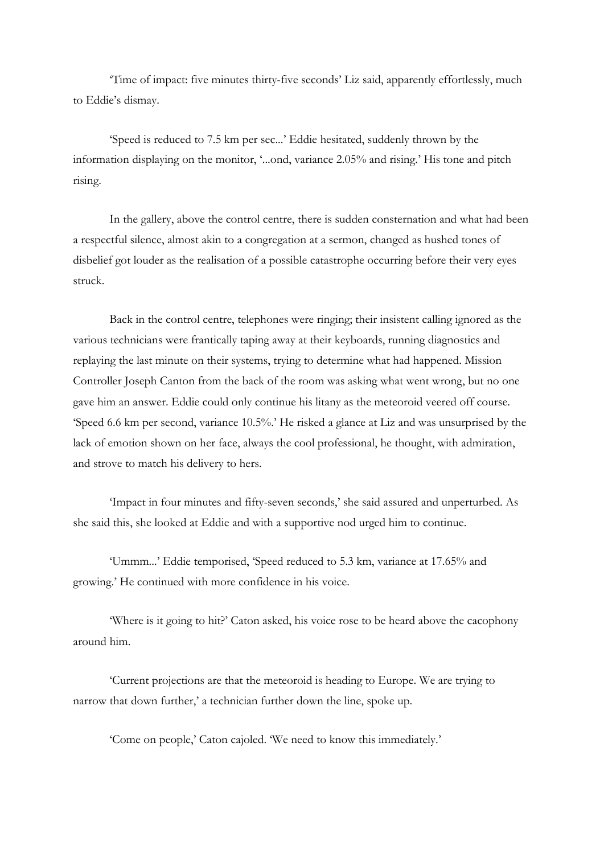'Time of impact: five minutes thirty-five seconds' Liz said, apparently effortlessly, much to Eddie's dismay.

'Speed is reduced to 7.5 km per sec...' Eddie hesitated, suddenly thrown by the information displaying on the monitor, '...ond, variance 2.05% and rising.' His tone and pitch rising.

In the gallery, above the control centre, there is sudden consternation and what had been a respectful silence, almost akin to a congregation at a sermon, changed as hushed tones of disbelief got louder as the realisation of a possible catastrophe occurring before their very eyes struck.

Back in the control centre, telephones were ringing; their insistent calling ignored as the various technicians were frantically taping away at their keyboards, running diagnostics and replaying the last minute on their systems, trying to determine what had happened. Mission Controller Joseph Canton from the back of the room was asking what went wrong, but no one gave him an answer. Eddie could only continue his litany as the meteoroid veered off course. 'Speed 6.6 km per second, variance 10.5%.' He risked a glance at Liz and was unsurprised by the lack of emotion shown on her face, always the cool professional, he thought, with admiration, and strove to match his delivery to hers.

'Impact in four minutes and fifty-seven seconds,' she said assured and unperturbed. As she said this, she looked at Eddie and with a supportive nod urged him to continue.

'Ummm...' Eddie temporised, 'Speed reduced to 5.3 km, variance at 17.65% and growing.' He continued with more confidence in his voice.

'Where is it going to hit?' Caton asked, his voice rose to be heard above the cacophony around him.

'Current projections are that the meteoroid is heading to Europe. We are trying to narrow that down further,' a technician further down the line, spoke up.

'Come on people,' Caton cajoled. 'We need to know this immediately.'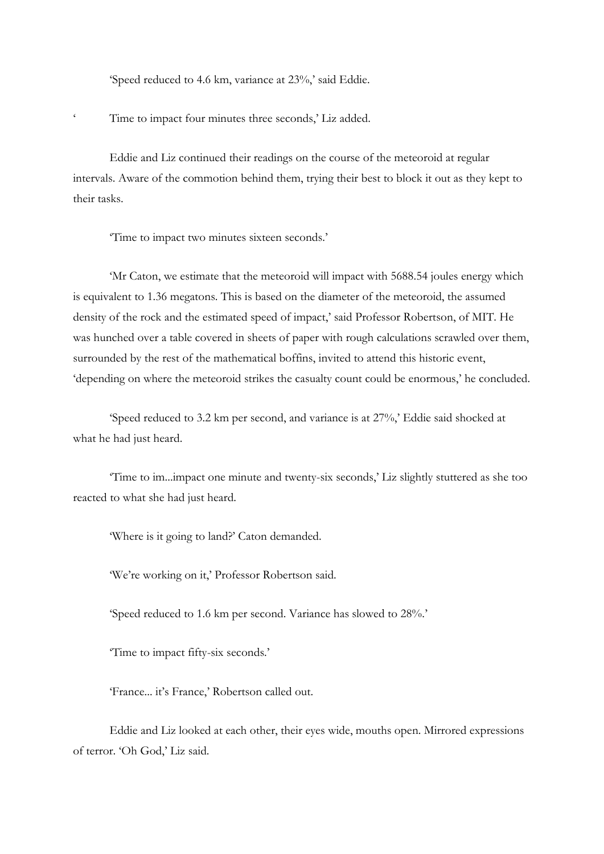'Speed reduced to 4.6 km, variance at 23%,' said Eddie.

Time to impact four minutes three seconds,' Liz added.

Eddie and Liz continued their readings on the course of the meteoroid at regular intervals. Aware of the commotion behind them, trying their best to block it out as they kept to their tasks.

'Time to impact two minutes sixteen seconds.'

'Mr Caton, we estimate that the meteoroid will impact with 5688.54 joules energy which is equivalent to 1.36 megatons. This is based on the diameter of the meteoroid, the assumed density of the rock and the estimated speed of impact,' said Professor Robertson, of MIT. He was hunched over a table covered in sheets of paper with rough calculations scrawled over them, surrounded by the rest of the mathematical boffins, invited to attend this historic event, 'depending on where the meteoroid strikes the casualty count could be enormous,' he concluded.

'Speed reduced to 3.2 km per second, and variance is at 27%,' Eddie said shocked at what he had just heard.

'Time to im...impact one minute and twenty-six seconds,' Liz slightly stuttered as she too reacted to what she had just heard.

'Where is it going to land?' Caton demanded.

'We're working on it,' Professor Robertson said.

'Speed reduced to 1.6 km per second. Variance has slowed to 28%.'

'Time to impact fifty-six seconds.'

'France... it's France,' Robertson called out.

Eddie and Liz looked at each other, their eyes wide, mouths open. Mirrored expressions of terror. 'Oh God,' Liz said.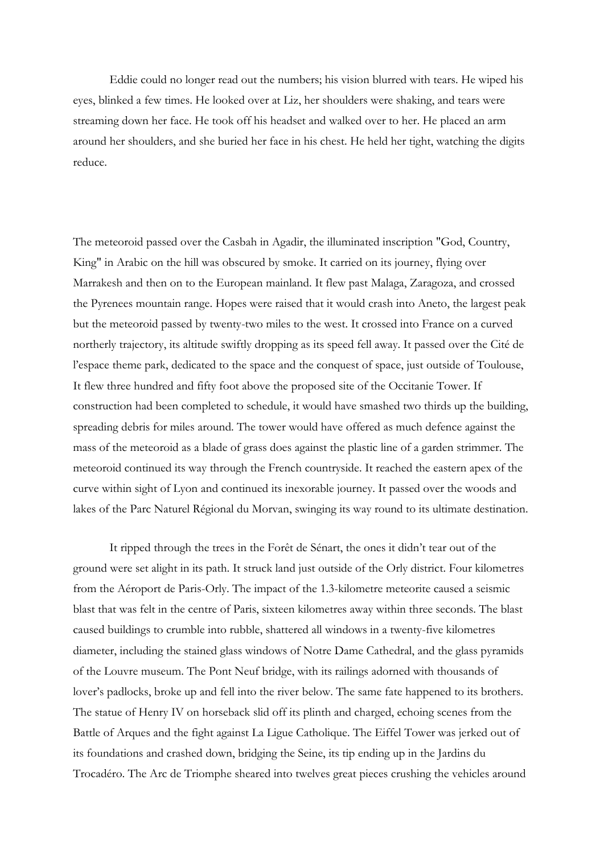Eddie could no longer read out the numbers; his vision blurred with tears. He wiped his eyes, blinked a few times. He looked over at Liz, her shoulders were shaking, and tears were streaming down her face. He took off his headset and walked over to her. He placed an arm around her shoulders, and she buried her face in his chest. He held her tight, watching the digits reduce.

The meteoroid passed over the Casbah in Agadir, the illuminated inscription "God, Country, King" in Arabic on the hill was obscured by smoke. It carried on its journey, flying over Marrakesh and then on to the European mainland. It flew past Malaga, Zaragoza, and crossed the Pyrenees mountain range. Hopes were raised that it would crash into Aneto, the largest peak but the meteoroid passed by twenty-two miles to the west. It crossed into France on a curved northerly trajectory, its altitude swiftly dropping as its speed fell away. It passed over the Cité de l'espace theme park, dedicated to the space and the conquest of space, just outside of Toulouse, It flew three hundred and fifty foot above the proposed site of the Occitanie Tower. If construction had been completed to schedule, it would have smashed two thirds up the building, spreading debris for miles around. The tower would have offered as much defence against the mass of the meteoroid as a blade of grass does against the plastic line of a garden strimmer. The meteoroid continued its way through the French countryside. It reached the eastern apex of the curve within sight of Lyon and continued its inexorable journey. It passed over the woods and lakes of the Parc Naturel Régional du Morvan, swinging its way round to its ultimate destination.

It ripped through the trees in the Forêt de Sénart, the ones it didn't tear out of the ground were set alight in its path. It struck land just outside of the Orly district. Four kilometres from the Aéroport de Paris-Orly. The impact of the 1.3-kilometre meteorite caused a seismic blast that was felt in the centre of Paris, sixteen kilometres away within three seconds. The blast caused buildings to crumble into rubble, shattered all windows in a twenty-five kilometres diameter, including the stained glass windows of Notre Dame Cathedral, and the glass pyramids of the Louvre museum. The Pont Neuf bridge, with its railings adorned with thousands of lover's padlocks, broke up and fell into the river below. The same fate happened to its brothers. The statue of Henry IV on horseback slid off its plinth and charged, echoing scenes from the Battle of Arques and the fight against La Ligue Catholique. The Eiffel Tower was jerked out of its foundations and crashed down, bridging the Seine, its tip ending up in the Jardins du Trocadéro. The Arc de Triomphe sheared into twelves great pieces crushing the vehicles around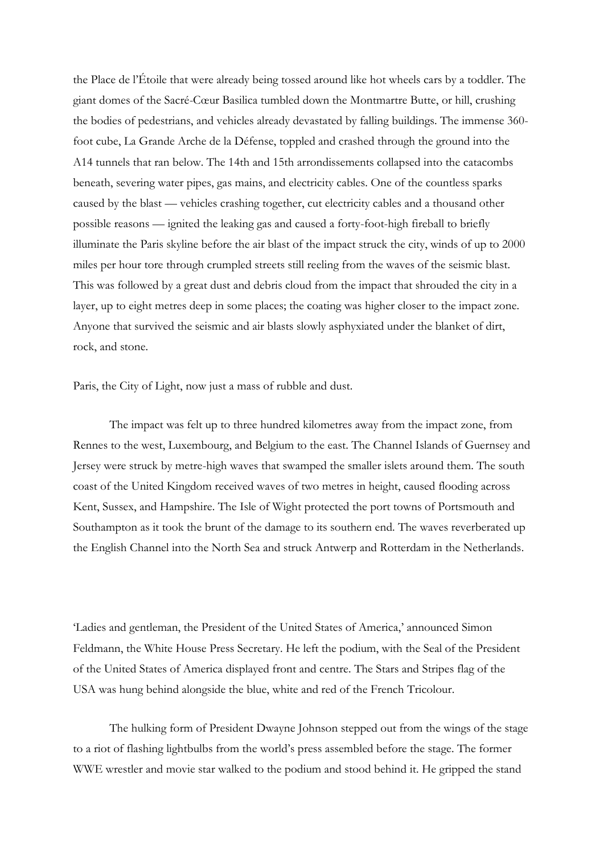the Place de l'Étoile that were already being tossed around like hot wheels cars by a toddler. The giant domes of the Sacré-Cœur Basilica tumbled down the Montmartre Butte, or hill, crushing the bodies of pedestrians, and vehicles already devastated by falling buildings. The immense 360 foot cube, La Grande Arche de la Défense, toppled and crashed through the ground into the A14 tunnels that ran below. The 14th and 15th arrondissements collapsed into the catacombs beneath, severing water pipes, gas mains, and electricity cables. One of the countless sparks caused by the blast — vehicles crashing together, cut electricity cables and a thousand other possible reasons — ignited the leaking gas and caused a forty-foot-high fireball to briefly illuminate the Paris skyline before the air blast of the impact struck the city, winds of up to 2000 miles per hour tore through crumpled streets still reeling from the waves of the seismic blast. This was followed by a great dust and debris cloud from the impact that shrouded the city in a layer, up to eight metres deep in some places; the coating was higher closer to the impact zone. Anyone that survived the seismic and air blasts slowly asphyxiated under the blanket of dirt, rock, and stone.

Paris, the City of Light, now just a mass of rubble and dust.

The impact was felt up to three hundred kilometres away from the impact zone, from Rennes to the west, Luxembourg, and Belgium to the east. The Channel Islands of Guernsey and Jersey were struck by metre-high waves that swamped the smaller islets around them. The south coast of the United Kingdom received waves of two metres in height, caused flooding across Kent, Sussex, and Hampshire. The Isle of Wight protected the port towns of Portsmouth and Southampton as it took the brunt of the damage to its southern end. The waves reverberated up the English Channel into the North Sea and struck Antwerp and Rotterdam in the Netherlands.

'Ladies and gentleman, the President of the United States of America,' announced Simon Feldmann, the White House Press Secretary. He left the podium, with the Seal of the President of the United States of America displayed front and centre. The Stars and Stripes flag of the USA was hung behind alongside the blue, white and red of the French Tricolour.

The hulking form of President Dwayne Johnson stepped out from the wings of the stage to a riot of flashing lightbulbs from the world's press assembled before the stage. The former WWE wrestler and movie star walked to the podium and stood behind it. He gripped the stand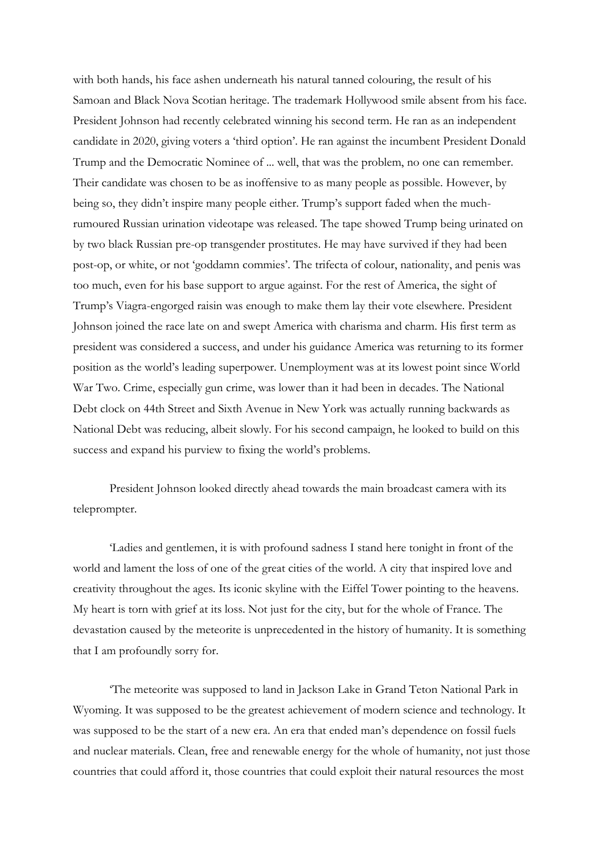with both hands, his face ashen underneath his natural tanned colouring, the result of his Samoan and Black Nova Scotian heritage. The trademark Hollywood smile absent from his face. President Johnson had recently celebrated winning his second term. He ran as an independent candidate in 2020, giving voters a 'third option'. He ran against the incumbent President Donald Trump and the Democratic Nominee of ... well, that was the problem, no one can remember. Their candidate was chosen to be as inoffensive to as many people as possible. However, by being so, they didn't inspire many people either. Trump's support faded when the muchrumoured Russian urination videotape was released. The tape showed Trump being urinated on by two black Russian pre-op transgender prostitutes. He may have survived if they had been post-op, or white, or not 'goddamn commies'. The trifecta of colour, nationality, and penis was too much, even for his base support to argue against. For the rest of America, the sight of Trump's Viagra-engorged raisin was enough to make them lay their vote elsewhere. President Johnson joined the race late on and swept America with charisma and charm. His first term as president was considered a success, and under his guidance America was returning to its former position as the world's leading superpower. Unemployment was at its lowest point since World War Two. Crime, especially gun crime, was lower than it had been in decades. The National Debt clock on 44th Street and Sixth Avenue in New York was actually running backwards as National Debt was reducing, albeit slowly. For his second campaign, he looked to build on this success and expand his purview to fixing the world's problems.

President Johnson looked directly ahead towards the main broadcast camera with its teleprompter.

'Ladies and gentlemen, it is with profound sadness I stand here tonight in front of the world and lament the loss of one of the great cities of the world. A city that inspired love and creativity throughout the ages. Its iconic skyline with the Eiffel Tower pointing to the heavens. My heart is torn with grief at its loss. Not just for the city, but for the whole of France. The devastation caused by the meteorite is unprecedented in the history of humanity. It is something that I am profoundly sorry for.

'The meteorite was supposed to land in Jackson Lake in Grand Teton National Park in Wyoming. It was supposed to be the greatest achievement of modern science and technology. It was supposed to be the start of a new era. An era that ended man's dependence on fossil fuels and nuclear materials. Clean, free and renewable energy for the whole of humanity, not just those countries that could afford it, those countries that could exploit their natural resources the most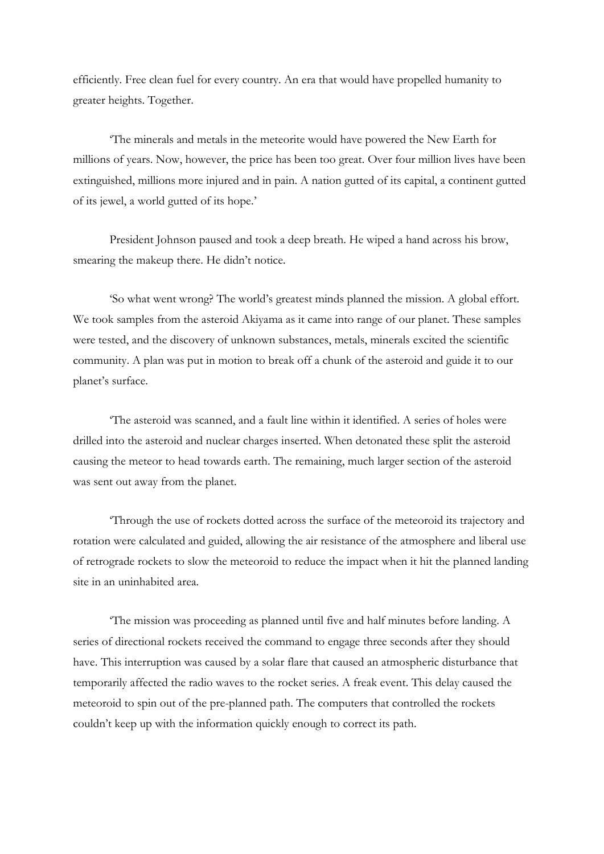efficiently. Free clean fuel for every country. An era that would have propelled humanity to greater heights. Together.

'The minerals and metals in the meteorite would have powered the New Earth for millions of years. Now, however, the price has been too great. Over four million lives have been extinguished, millions more injured and in pain. A nation gutted of its capital, a continent gutted of its jewel, a world gutted of its hope.'

President Johnson paused and took a deep breath. He wiped a hand across his brow, smearing the makeup there. He didn't notice.

'So what went wrong? The world's greatest minds planned the mission. A global effort. We took samples from the asteroid Akiyama as it came into range of our planet. These samples were tested, and the discovery of unknown substances, metals, minerals excited the scientific community. A plan was put in motion to break off a chunk of the asteroid and guide it to our planet's surface.

'The asteroid was scanned, and a fault line within it identified. A series of holes were drilled into the asteroid and nuclear charges inserted. When detonated these split the asteroid causing the meteor to head towards earth. The remaining, much larger section of the asteroid was sent out away from the planet.

'Through the use of rockets dotted across the surface of the meteoroid its trajectory and rotation were calculated and guided, allowing the air resistance of the atmosphere and liberal use of retrograde rockets to slow the meteoroid to reduce the impact when it hit the planned landing site in an uninhabited area.

'The mission was proceeding as planned until five and half minutes before landing. A series of directional rockets received the command to engage three seconds after they should have. This interruption was caused by a solar flare that caused an atmospheric disturbance that temporarily affected the radio waves to the rocket series. A freak event. This delay caused the meteoroid to spin out of the pre-planned path. The computers that controlled the rockets couldn't keep up with the information quickly enough to correct its path.